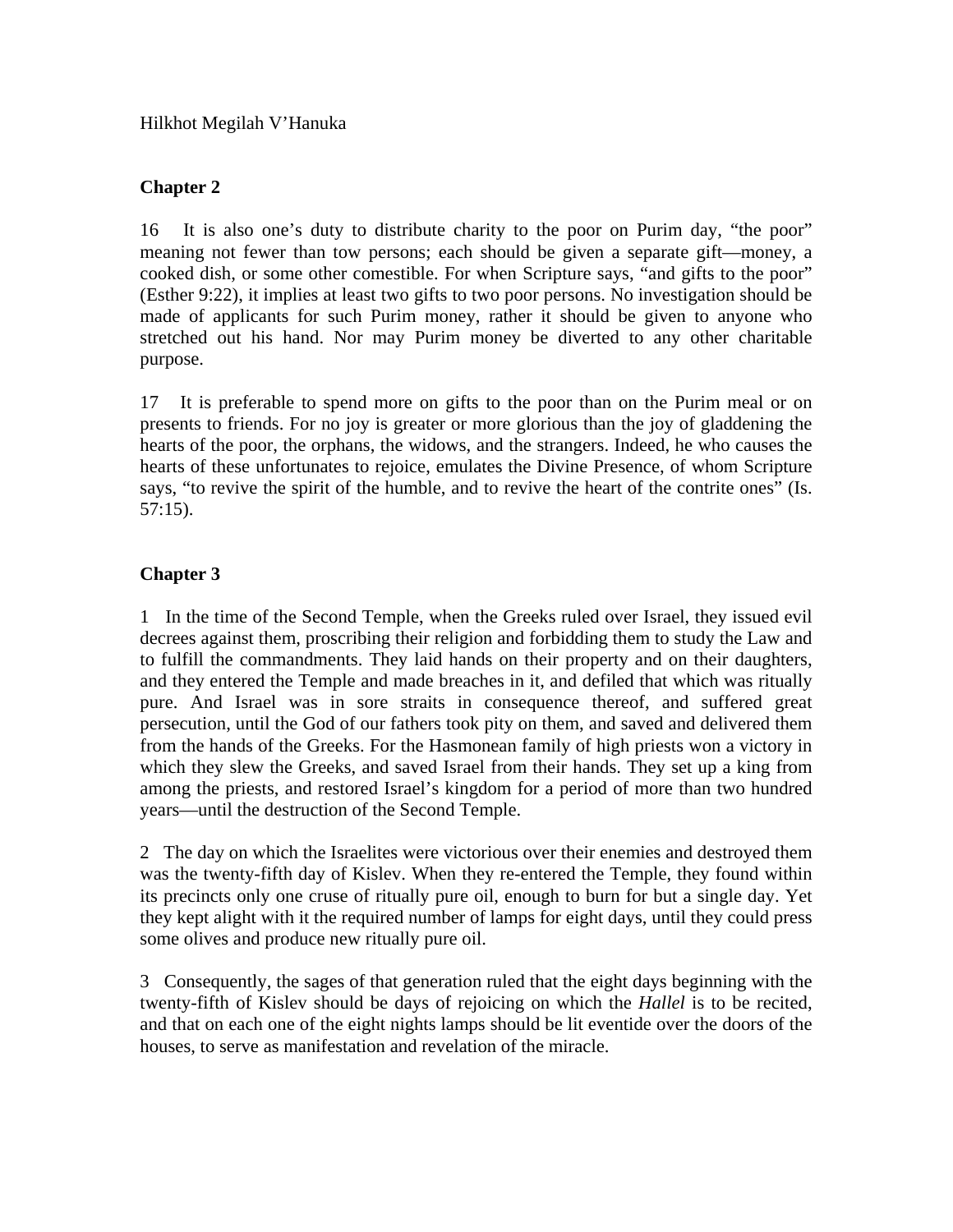Hilkhot Megilah V'Hanuka

## **Chapter 2**

16 It is also one's duty to distribute charity to the poor on Purim day, "the poor" meaning not fewer than tow persons; each should be given a separate gift—money, a cooked dish, or some other comestible. For when Scripture says, "and gifts to the poor" (Esther 9:22), it implies at least two gifts to two poor persons. No investigation should be made of applicants for such Purim money, rather it should be given to anyone who stretched out his hand. Nor may Purim money be diverted to any other charitable purpose.

17 It is preferable to spend more on gifts to the poor than on the Purim meal or on presents to friends. For no joy is greater or more glorious than the joy of gladdening the hearts of the poor, the orphans, the widows, and the strangers. Indeed, he who causes the hearts of these unfortunates to rejoice, emulates the Divine Presence, of whom Scripture says, "to revive the spirit of the humble, and to revive the heart of the contrite ones" (Is. 57:15).

## **Chapter 3**

1 In the time of the Second Temple, when the Greeks ruled over Israel, they issued evil decrees against them, proscribing their religion and forbidding them to study the Law and to fulfill the commandments. They laid hands on their property and on their daughters, and they entered the Temple and made breaches in it, and defiled that which was ritually pure. And Israel was in sore straits in consequence thereof, and suffered great persecution, until the God of our fathers took pity on them, and saved and delivered them from the hands of the Greeks. For the Hasmonean family of high priests won a victory in which they slew the Greeks, and saved Israel from their hands. They set up a king from among the priests, and restored Israel's kingdom for a period of more than two hundred years—until the destruction of the Second Temple.

2 The day on which the Israelites were victorious over their enemies and destroyed them was the twenty-fifth day of Kislev. When they re-entered the Temple, they found within its precincts only one cruse of ritually pure oil, enough to burn for but a single day. Yet they kept alight with it the required number of lamps for eight days, until they could press some olives and produce new ritually pure oil.

3 Consequently, the sages of that generation ruled that the eight days beginning with the twenty-fifth of Kislev should be days of rejoicing on which the *Hallel* is to be recited, and that on each one of the eight nights lamps should be lit eventide over the doors of the houses, to serve as manifestation and revelation of the miracle.